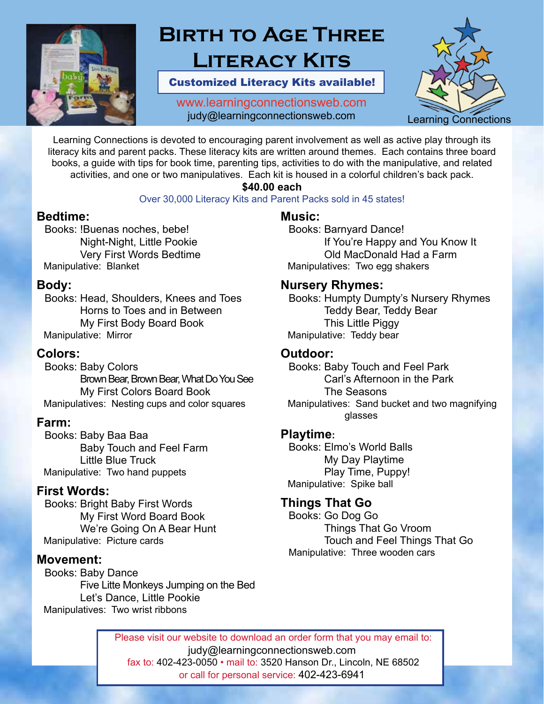

# **Birth to Age Three Literacy Kits**

Customized Literacy Kits available!

www.learningconnectionsweb.com judy@learningconnectionsweb.com



Learning Connections is devoted to encouraging parent involvement as well as active play through its literacy kits and parent packs. These literacy kits are written around themes. Each contains three board books, a guide with tips for book time, parenting tips, activities to do with the manipulative, and related activities, and one or two manipulatives. Each kit is housed in a colorful children's back pack.

### **\$40.00 each**

#### Over 30,000 Literacy Kits and Parent Packs sold in 45 states!

### **Bedtime:**

Books: !Buenas noches, bebe! Night-Night, Little Pookie Very First Words Bedtime Manipulative: Blanket

# **Body:**

Books: Head, Shoulders, Knees and Toes Horns to Toes and in Between My First Body Board Book Manipulative: Mirror

# **Colors:**

Books: Baby Colors Brown Bear, Brown Bear, What Do You See My First Colors Board Book Manipulatives: Nesting cups and color squares

# **Farm:**

Books: Baby Baa Baa Baby Touch and Feel Farm Little Blue Truck Manipulative: Two hand puppets

# **First Words:**

Books: Bright Baby First Words My First Word Board Book We're Going On A Bear Hunt Manipulative: Picture cards

# **Movement:**

Books: Baby Dance Five Litte Monkeys Jumping on the Bed Let's Dance, Little Pookie Manipulatives: Two wrist ribbons

# **Music:**

Books: Barnyard Dance! If You're Happy and You Know It Old MacDonald Had a Farm Manipulatives: Two egg shakers

# **Nursery Rhymes:**

Books: Humpty Dumpty's Nursery Rhymes Teddy Bear, Teddy Bear This Little Piggy Manipulative: Teddy bear

### **Outdoor:**

Books: Baby Touch and Feel Park Carl's Afternoon in the Park The Seasons Manipulatives: Sand bucket and two magnifying glasses

# **Playtime:**

Books: Elmo's World Balls My Day Playtime Play Time, Puppy! Manipulative: Spike ball

# **Things That Go**

Books: Go Dog Go Things That Go Vroom Touch and Feel Things That Go Manipulative: Three wooden cars

Please visit our website to download an order form that you may email to: judy@learningconnectionsweb.com fax to: 402-423-0050 • mail to: 3520 Hanson Dr., Lincoln, NE 68502 or call for personal service: 402-423-6941